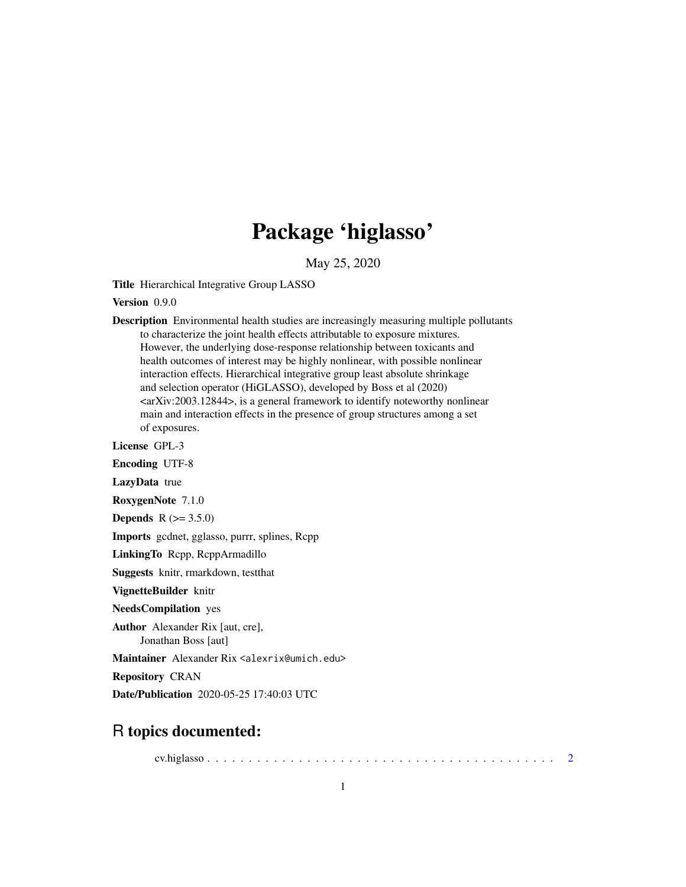## Package 'higlasso'

May 25, 2020

Title Hierarchical Integrative Group LASSO

Version 0.9.0

Description Environmental health studies are increasingly measuring multiple pollutants to characterize the joint health effects attributable to exposure mixtures. However, the underlying dose-response relationship between toxicants and health outcomes of interest may be highly nonlinear, with possible nonlinear interaction effects. Hierarchical integrative group least absolute shrinkage and selection operator (HiGLASSO), developed by Boss et al (2020) <arXiv:2003.12844>, is a general framework to identify noteworthy nonlinear main and interaction effects in the presence of group structures among a set of exposures.

License GPL-3

Encoding UTF-8

LazyData true

RoxygenNote 7.1.0

**Depends** R  $(>= 3.5.0)$ 

Imports gcdnet, gglasso, purrr, splines, Rcpp

LinkingTo Rcpp, RcppArmadillo

Suggests knitr, rmarkdown, testthat

VignetteBuilder knitr

NeedsCompilation yes

Author Alexander Rix [aut, cre], Jonathan Boss [aut]

Maintainer Alexander Rix <alexrix@umich.edu>

Repository CRAN

Date/Publication 2020-05-25 17:40:03 UTC

### R topics documented:

cv.higlasso . . . . . . . . . . . . . . . . . . . . . . . . . . . . . . . . . . . . . . . . . . [2](#page-1-0)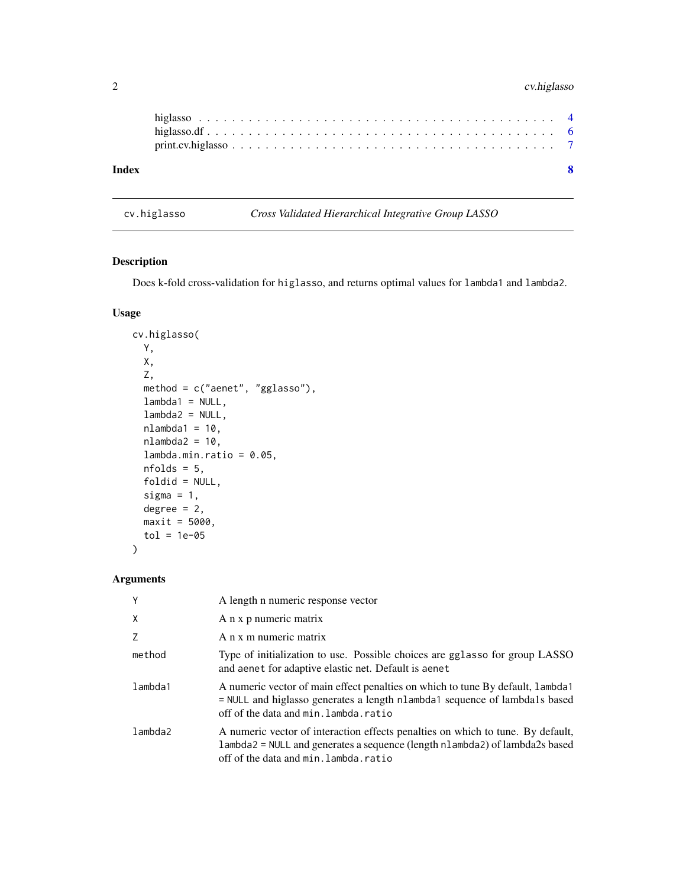#### <span id="page-1-0"></span>2 cv.higlasso

| $print.cv.higlasso \ldots \ldots \ldots \ldots \ldots \ldots \ldots \ldots \ldots \ldots \ldots \ldots \ldots$ |  |
|----------------------------------------------------------------------------------------------------------------|--|
|                                                                                                                |  |
|                                                                                                                |  |

cv.higlasso *Cross Validated Hierarchical Integrative Group LASSO*

#### Description

Does k-fold cross-validation for higlasso, and returns optimal values for lambda1 and lambda2.

#### Usage

```
cv.higlasso(
 Y,
 X,
  Z,
 method = c("aenet", "gglasso"),
 lambda1 = NULL,lambda2 = NULL,nlambda1 = 10,
 nlambda2 = 10,
  lambda.min.ratio = 0.05,
 nfolds = 5,
  foldid = NULL,
  sigma = 1,
  degree = 2,
 maxit = 5000,
  tol = 1e-05)
```
#### Arguments

| Y       | A length n numeric response vector                                                                                                                                                                       |
|---------|----------------------------------------------------------------------------------------------------------------------------------------------------------------------------------------------------------|
| X       | A n x p numeric matrix                                                                                                                                                                                   |
| 7       | A n x m numeric matrix                                                                                                                                                                                   |
| method  | Type of initialization to use. Possible choices are gglasso for group LASSO<br>and aenet for adaptive elastic net. Default is aenet                                                                      |
| lambda1 | A numeric vector of main effect penalties on which to tune By default, lambda1<br>= NULL and higlasso generates a length nlambda1 sequence of lambda1s based<br>off of the data and min. lambda. ratio   |
| lambda2 | A numeric vector of interaction effects penalties on which to tune. By default,<br>lambda2 = NULL and generates a sequence (length nlambda2) of lambda2s based<br>off of the data and min. lambda. ratio |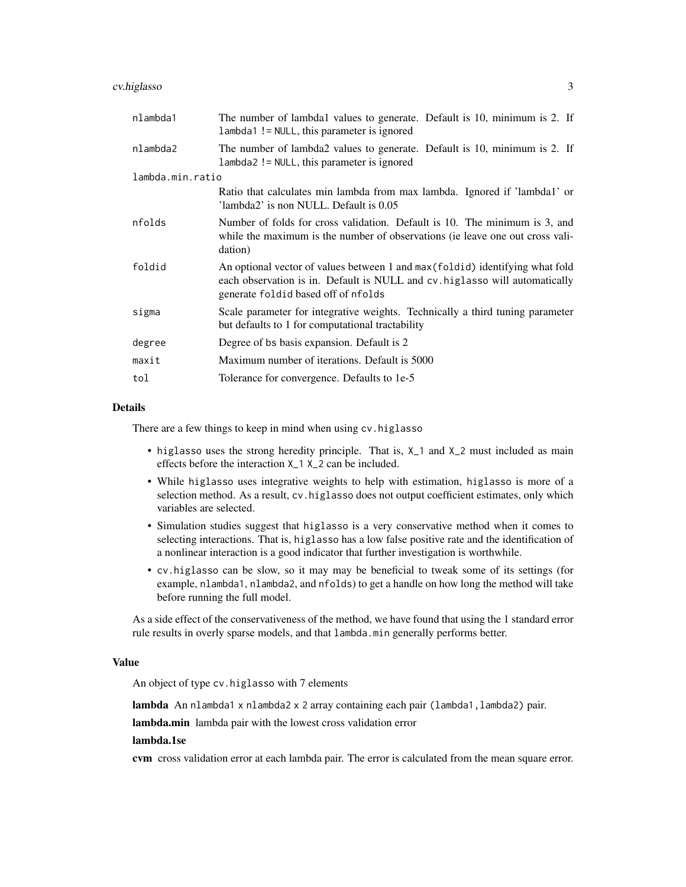#### cv.higlasso 3

| The number of lambdal values to generate. Default is 10, minimum is 2. If<br>lambda1 != NULL, this parameter is ignored                                                                             |  |  |  |
|-----------------------------------------------------------------------------------------------------------------------------------------------------------------------------------------------------|--|--|--|
| The number of lambda2 values to generate. Default is 10, minimum is 2. If<br>lambda2 != NULL, this parameter is ignored                                                                             |  |  |  |
| lambda.min.ratio                                                                                                                                                                                    |  |  |  |
| Ratio that calculates min lambda from max lambda. Ignored if 'lambda1' or<br>'lambda2' is non NULL. Default is 0.05                                                                                 |  |  |  |
| Number of folds for cross validation. Default is 10. The minimum is 3, and<br>while the maximum is the number of observations (ie leave one out cross vali-<br>dation)                              |  |  |  |
| An optional vector of values between 1 and max (foldid) identifying what fold<br>each observation is in. Default is NULL and cv. higlasso will automatically<br>generate foldid based off of nfolds |  |  |  |
| Scale parameter for integrative weights. Technically a third tuning parameter<br>but defaults to 1 for computational tractability                                                                   |  |  |  |
| Degree of bs basis expansion. Default is 2                                                                                                                                                          |  |  |  |
| Maximum number of iterations. Default is 5000                                                                                                                                                       |  |  |  |
| Tolerance for convergence. Defaults to 1e-5                                                                                                                                                         |  |  |  |
|                                                                                                                                                                                                     |  |  |  |

#### Details

There are a few things to keep in mind when using cv.higlasso

- higlasso uses the strong heredity principle. That is, X\_1 and X\_2 must included as main effects before the interaction X\_1 X\_2 can be included.
- While higlasso uses integrative weights to help with estimation, higlasso is more of a selection method. As a result, cv.higlasso does not output coefficient estimates, only which variables are selected.
- Simulation studies suggest that higlasso is a very conservative method when it comes to selecting interactions. That is, higlasso has a low false positive rate and the identification of a nonlinear interaction is a good indicator that further investigation is worthwhile.
- cv.higlasso can be slow, so it may may be beneficial to tweak some of its settings (for example, nlambda1, nlambda2, and nfolds) to get a handle on how long the method will take before running the full model.

As a side effect of the conservativeness of the method, we have found that using the 1 standard error rule results in overly sparse models, and that lambda.min generally performs better.

#### Value

An object of type cv.higlasso with 7 elements

lambda An nlambda1 x nlambda2 x 2 array containing each pair (lambda1,lambda2) pair.

lambda.min lambda pair with the lowest cross validation error

#### lambda.1se

cvm cross validation error at each lambda pair. The error is calculated from the mean square error.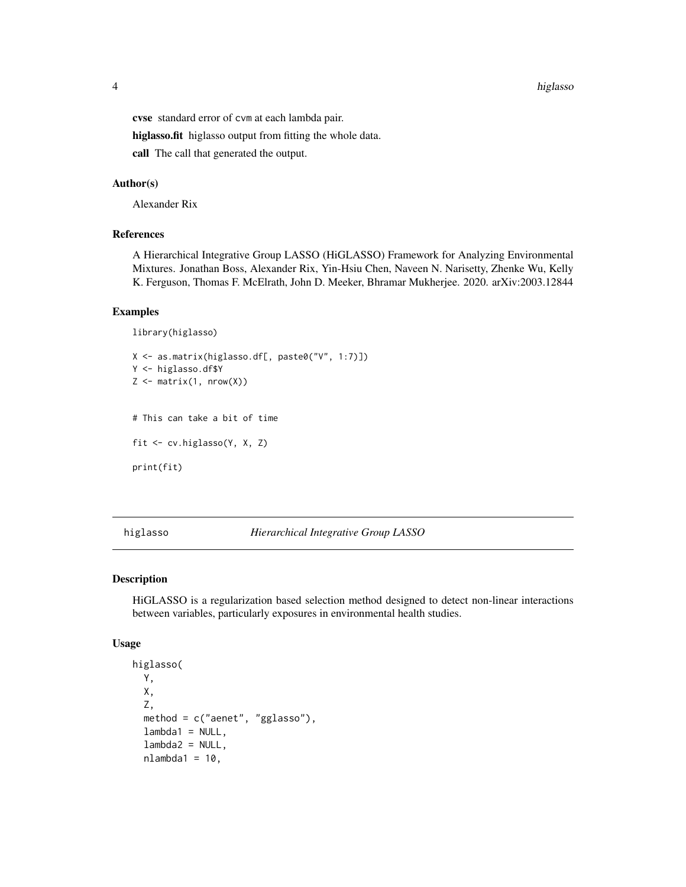<span id="page-3-0"></span>4 higlasso and the contract of the contract of the contract of the contract of the contract of the contract of the contract of the contract of the contract of the contract of the contract of the contract of the contract of

cvse standard error of cvm at each lambda pair.

higlasso.fit higlasso output from fitting the whole data.

call The call that generated the output.

#### Author(s)

Alexander Rix

#### References

A Hierarchical Integrative Group LASSO (HiGLASSO) Framework for Analyzing Environmental Mixtures. Jonathan Boss, Alexander Rix, Yin-Hsiu Chen, Naveen N. Narisetty, Zhenke Wu, Kelly K. Ferguson, Thomas F. McElrath, John D. Meeker, Bhramar Mukherjee. 2020. arXiv:2003.12844

#### Examples

```
library(higlasso)
```

```
X <- as.matrix(higlasso.df[, paste0("V", 1:7)])
Y <- higlasso.df$Y
Z \leftarrow matrix(1, nrow(X))# This can take a bit of time
fit <- cv.higlasso(Y, X, Z)
print(fit)
```
higlasso *Hierarchical Integrative Group LASSO*

#### Description

HiGLASSO is a regularization based selection method designed to detect non-linear interactions between variables, particularly exposures in environmental health studies.

#### Usage

```
higlasso(
 Y,
 X,
  Z,
 method = c("aenet", "gglasso"),
  lambda1 = NULL,lambda2 = NULL,nlambda1 = 10,
```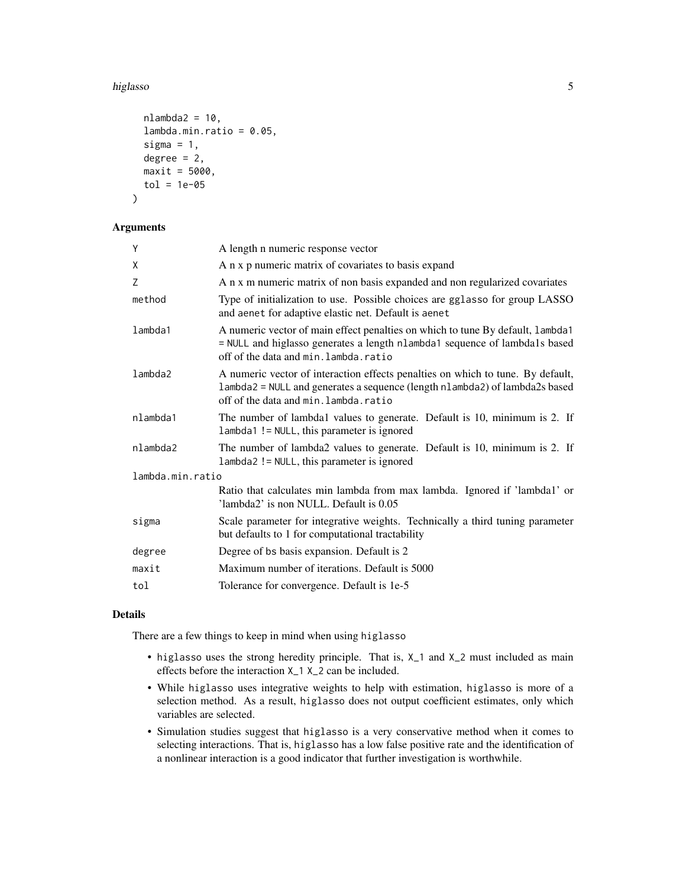#### higlasso 55 and 55 and 55 and 55 and 55 and 55 and 55 and 55 and 55 and 55 and 55 and 55 and 55 and 55 and 55 and 55 and 55 and 55 and 55 and 55 and 55 and 55 and 55 and 55 and 55 and 55 and 55 and 55 and 55 and 55 and 55

```
nlambda2 = 10,
  lambda.min.ratio = 0.05,sigma = 1,
  degree = 2,
 maxit = 5000,
  tol = 1e-05)
```
#### Arguments

| Y                | A length n numeric response vector                                                                                                                                                                       |  |  |
|------------------|----------------------------------------------------------------------------------------------------------------------------------------------------------------------------------------------------------|--|--|
| Χ                | A n x p numeric matrix of covariates to basis expand                                                                                                                                                     |  |  |
| Z                | A n x m numeric matrix of non basis expanded and non regularized covariates                                                                                                                              |  |  |
| method           | Type of initialization to use. Possible choices are gglasso for group LASSO<br>and aenet for adaptive elastic net. Default is aenet                                                                      |  |  |
| lambda1          | A numeric vector of main effect penalties on which to tune By default, lambda1<br>= NULL and higlasso generates a length nlambda1 sequence of lambda1s based<br>off of the data and min. lambda. ratio   |  |  |
| lambda2          | A numeric vector of interaction effects penalties on which to tune. By default,<br>lambda2 = NULL and generates a sequence (length nlambda2) of lambda2s based<br>off of the data and min. lambda. ratio |  |  |
| nlambda1         | The number of lambda1 values to generate. Default is 10, minimum is 2. If<br>lambda1 != NULL, this parameter is ignored                                                                                  |  |  |
| nlambda2         | The number of lambda2 values to generate. Default is 10, minimum is 2. If<br>lambda2 != NULL, this parameter is ignored                                                                                  |  |  |
| lambda.min.ratio |                                                                                                                                                                                                          |  |  |
|                  | Ratio that calculates min lambda from max lambda. Ignored if 'lambda1' or<br>'lambda2' is non NULL. Default is 0.05                                                                                      |  |  |
| sigma            | Scale parameter for integrative weights. Technically a third tuning parameter<br>but defaults to 1 for computational tractability                                                                        |  |  |
| degree           | Degree of bs basis expansion. Default is 2                                                                                                                                                               |  |  |
| maxit            | Maximum number of iterations. Default is 5000                                                                                                                                                            |  |  |
| tol              | Tolerance for convergence. Default is 1e-5                                                                                                                                                               |  |  |
|                  |                                                                                                                                                                                                          |  |  |

#### Details

There are a few things to keep in mind when using higlasso

- higlasso uses the strong heredity principle. That is, X\_1 and X\_2 must included as main effects before the interaction X\_1 X\_2 can be included.
- While higlasso uses integrative weights to help with estimation, higlasso is more of a selection method. As a result, higlasso does not output coefficient estimates, only which variables are selected.
- Simulation studies suggest that higlasso is a very conservative method when it comes to selecting interactions. That is, higlasso has a low false positive rate and the identification of a nonlinear interaction is a good indicator that further investigation is worthwhile.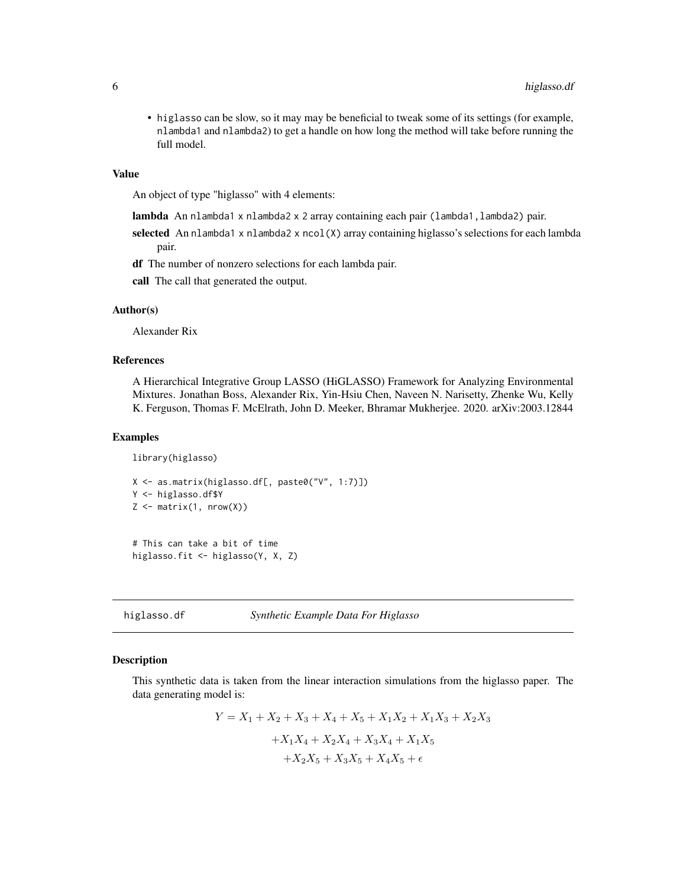<span id="page-5-0"></span>• higlasso can be slow, so it may may be beneficial to tweak some of its settings (for example, nlambda1 and nlambda2) to get a handle on how long the method will take before running the full model.

#### Value

An object of type "higlasso" with 4 elements:

- lambda An nlambda1 x nlambda2 x 2 array containing each pair (lambda1, lambda2) pair.
- selected An nlambda1 x nlambda2 x ncol(X) array containing higlasso's selections for each lambda pair.
- df The number of nonzero selections for each lambda pair.

call The call that generated the output.

#### Author(s)

Alexander Rix

#### References

A Hierarchical Integrative Group LASSO (HiGLASSO) Framework for Analyzing Environmental Mixtures. Jonathan Boss, Alexander Rix, Yin-Hsiu Chen, Naveen N. Narisetty, Zhenke Wu, Kelly K. Ferguson, Thomas F. McElrath, John D. Meeker, Bhramar Mukherjee. 2020. arXiv:2003.12844

#### Examples

library(higlasso)

```
X <- as.matrix(higlasso.df[, paste0("V", 1:7)])
Y <- higlasso.df$Y
Z \leftarrow matrix(1, nrow(X))
```

```
# This can take a bit of time
higlasso.fit <- higlasso(Y, X, Z)
```
higlasso.df *Synthetic Example Data For Higlasso*

#### Description

This synthetic data is taken from the linear interaction simulations from the higlasso paper. The data generating model is:

$$
Y = X_1 + X_2 + X_3 + X_4 + X_5 + X_1X_2 + X_1X_3 + X_2X_3
$$

$$
+ X_1X_4 + X_2X_4 + X_3X_4 + X_1X_5
$$

$$
+ X_2X_5 + X_3X_5 + X_4X_5 + \epsilon
$$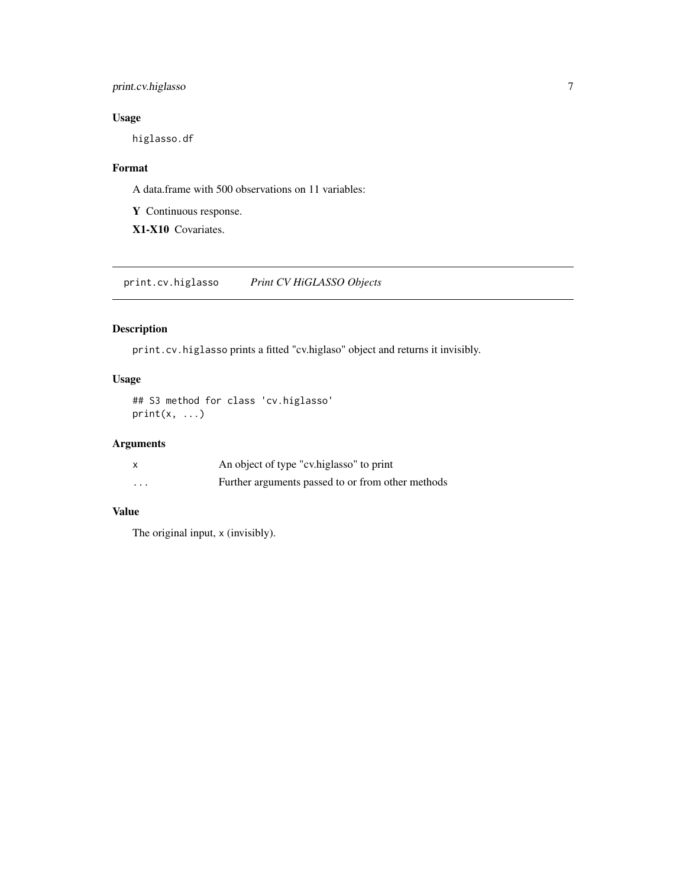#### <span id="page-6-0"></span>print.cv.higlasso 7

#### Usage

higlasso.df

#### Format

A data.frame with 500 observations on 11 variables:

Y Continuous response.

X1-X10 Covariates.

print.cv.higlasso *Print CV HiGLASSO Objects*

#### Description

print.cv.higlasso prints a fitted "cv.higlaso" object and returns it invisibly.

#### Usage

```
## S3 method for class 'cv.higlasso'
print(x, \ldots)
```
#### Arguments

|          | An object of type "cv.higlasso" to print          |
|----------|---------------------------------------------------|
| $\cdots$ | Further arguments passed to or from other methods |

#### Value

The original input, x (invisibly).